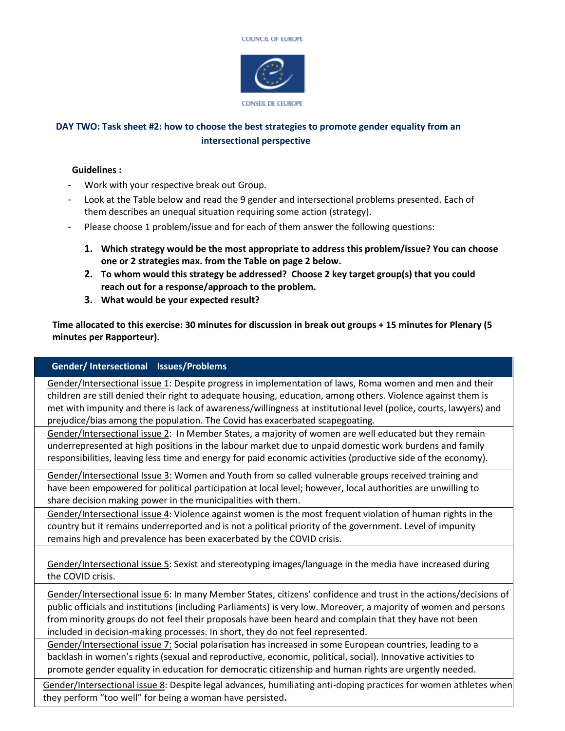



## **DAY TWO: Task sheet #2: how to choose the best strategies to promote gender equality from an intersectional perspective**

## **Guidelines :**

- Work with your respective break out Group.
- Look at the Table below and read the 9 gender and intersectional problems presented. Each of them describes an unequal situation requiring some action (strategy).
- Please choose 1 problem/issue and for each of them answer the following questions:
	- **1. Which strategy would be the most appropriate to address this problem/issue? You can choose one or 2 strategies max. from the Table on page 2 below.**
	- **2. To whom would this strategy be addressed? Choose 2 key target group(s) that you could reach out for a response/approach to the problem.**
	- **3. What would be your expected result?**

**Time allocated to this exercise: 30 minutes for discussion in break out groups + 15 minutes for Plenary (5 minutes per Rapporteur).** 

## **Gender/ Intersectional Issues/Problems**

Gender/Intersectional issue 1: Despite progress in implementation of laws, Roma women and men and their children are still denied their right to adequate housing, education, among others. Violence against them is met with impunity and there is lack of awareness/willingness at institutional level (police, courts, lawyers) and prejudice/bias among the population. The Covid has exacerbated scapegoating.

Gender/Intersectional issue 2: In Member States, a majority of women are well educated but they remain underrepresented at high positions in the labour market due to unpaid domestic work burdens and family responsibilities, leaving less time and energy for paid economic activities (productive side of the economy).

Gender/Intersectional Issue 3: Women and Youth from so called vulnerable groups received training and have been empowered for political participation at local level; however, local authorities are unwilling to share decision making power in the municipalities with them.

Gender/Intersectional issue 4: Violence against women is the most frequent violation of human rights in the country but it remains underreported and is not a political priority of the government. Level of impunity remains high and prevalence has been exacerbated by the COVID crisis.

Gender/Intersectional issue 5: Sexist and stereotyping images/language in the media have increased during the COVID crisis.

Gender/Intersectional issue 6: In many Member States, citizens' confidence and trust in the actions/decisions of public officials and institutions (including Parliaments) is very low. Moreover, a majority of women and persons from minority groups do not feel their proposals have been heard and complain that they have not been included in decision-making processes. In short, they do not feel represented.

Gender/Intersectional issue 7: Social polarisation has increased in some European countries, leading to a backlash in women's rights (sexual and reproductive, economic, political, social). Innovative activities to promote gender equality in education for democratic citizenship and human rights are urgently needed.

Gender/Intersectional issue 8: Despite legal advances, humiliating anti-doping practices for women athletes when they perform "too well" for being a woman have persisted**.**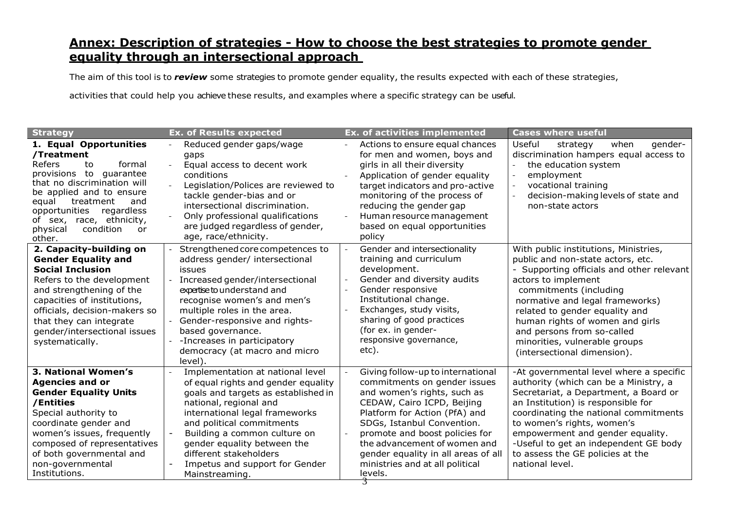## **Annex: Description of strategies - How to choose the best strategies to promote gender equality through an intersectional approach**

The aim of this tool is to *review* some strategies to promote gender equality, the results expected with each of these strategies,

activities that could help you achieve these results, and examples where a specific strategy can be useful.

| <b>Strategy</b>                                                                                                                                                                                                                                                                         | <b>Ex. of Results expected</b>                                                                                                                                                                                                                                                                                                                                         | <b>Ex. of activities implemented</b>                                                                                                                                                                                                                                                                                                                 | <b>Cases where useful</b>                                                                                                                                                                                                                                                                                                                                                      |
|-----------------------------------------------------------------------------------------------------------------------------------------------------------------------------------------------------------------------------------------------------------------------------------------|------------------------------------------------------------------------------------------------------------------------------------------------------------------------------------------------------------------------------------------------------------------------------------------------------------------------------------------------------------------------|------------------------------------------------------------------------------------------------------------------------------------------------------------------------------------------------------------------------------------------------------------------------------------------------------------------------------------------------------|--------------------------------------------------------------------------------------------------------------------------------------------------------------------------------------------------------------------------------------------------------------------------------------------------------------------------------------------------------------------------------|
| 1. Equal Opportunities<br>/Treatment<br>Refers<br>formal<br>to<br>provisions to guarantee<br>that no discrimination will<br>be applied and to ensure<br>equal<br>treatment<br>and<br>regardless<br>opportunities<br>of sex, race, ethnicity,<br>condition<br>physical<br>or<br>other.   | Reduced gender gaps/wage<br>gaps<br>Equal access to decent work<br>$\blacksquare$<br>conditions<br>Legislation/Polices are reviewed to<br>tackle gender-bias and or<br>intersectional discrimination.<br>Only professional qualifications<br>are judged regardless of gender,<br>age, race/ethnicity.                                                                  | Actions to ensure equal chances<br>for men and women, boys and<br>girls in all their diversity<br>Application of gender equality<br>target indicators and pro-active<br>monitoring of the process of<br>reducing the gender gap<br>Human resource management<br>based on equal opportunities<br>policy                                               | Useful<br>gender-<br>strategy<br>when<br>discrimination hampers equal access to<br>the education system<br>employment<br>vocational training<br>decision-making levels of state and<br>non-state actors                                                                                                                                                                        |
| 2. Capacity-building on<br><b>Gender Equality and</b><br><b>Social Inclusion</b><br>Refers to the development<br>and strengthening of the<br>capacities of institutions,<br>officials, decision-makers so<br>that they can integrate<br>gender/intersectional issues<br>systematically. | Strengthened core competences to<br>address gender/ intersectional<br>issues<br>Increased gender/intersectional<br>expertise to understand and<br>recognise women's and men's<br>multiple roles in the area.<br>Gender-responsive and rights-<br>based governance.<br>-Increases in participatory<br>democracy (at macro and micro<br>level).                          | Gender and intersectionality<br>training and curriculum<br>development.<br>Gender and diversity audits<br>Gender responsive<br>Institutional change.<br>Exchanges, study visits,<br>sharing of good practices<br>(for ex. in gender-<br>responsive governance,<br>etc).                                                                              | With public institutions, Ministries,<br>public and non-state actors, etc.<br>- Supporting officials and other relevant<br>actors to implement<br>commitments (including<br>normative and legal frameworks)<br>related to gender equality and<br>human rights of women and girls<br>and persons from so-called<br>minorities, vulnerable groups<br>(intersectional dimension). |
| 3. National Women's<br><b>Agencies and or</b><br><b>Gender Equality Units</b><br>/Entities<br>Special authority to<br>coordinate gender and<br>women's issues, frequently<br>composed of representatives<br>of both governmental and<br>non-governmental<br>Institutions.               | Implementation at national level<br>of equal rights and gender equality<br>goals and targets as established in<br>national, regional and<br>international legal frameworks<br>and political commitments<br>Building a common culture on<br>$\blacksquare$<br>gender equality between the<br>different stakeholders<br>Impetus and support for Gender<br>Mainstreaming. | Giving follow-up to international<br>commitments on gender issues<br>and women's rights, such as<br>CEDAW, Cairo ICPD, Beijing<br>Platform for Action (PfA) and<br>SDGs, Istanbul Convention.<br>promote and boost policies for<br>the advancement of women and<br>gender equality in all areas of all<br>ministries and at all political<br>levels. | -At governmental level where a specific<br>authority (which can be a Ministry, a<br>Secretariat, a Department, a Board or<br>an Institution) is responsible for<br>coordinating the national commitments<br>to women's rights, women's<br>empowerment and gender equality.<br>-Useful to get an independent GE body<br>to assess the GE policies at the<br>national level.     |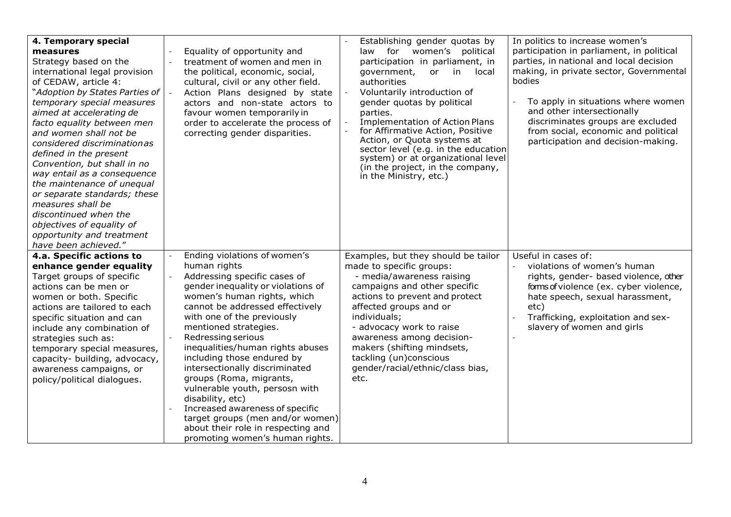| 4. Temporary special<br>measures<br>Strategy based on the<br>international legal provision<br>of CEDAW, article 4:<br><i>Nadoption by States Parties of</i><br>temporary special measures<br>aimed at accelerating de<br>facto equality between men<br>and women shall not be<br>considered discriminationas<br>defined in the present<br>Convention, but shall in no<br>way entail as a consequence<br>the maintenance of unequal<br>or separate standards; these<br>measures shall be<br>discontinued when the<br>objectives of equality of<br>opportunity and treatment<br>have been achieved." | $\overline{\phantom{a}}$<br>$\blacksquare$                                       | Equality of opportunity and<br>treatment of women and men in<br>the political, economic, social,<br>cultural, civil or any other field.<br>Action Plans designed by state<br>actors and non-state actors to<br>favour women temporarily in<br>order to accelerate the process of<br>correcting gender disparities.                                                                                                                                                                                                                                                                                     | Establishing gender quotas by<br>law for women's political<br>participation in parliament, in<br>in<br>local<br>government,<br>or.<br>authorities<br>Voluntarily introduction of<br>gender quotas by political<br>parties.<br><b>Implementation of Action Plans</b><br>for Affirmative Action, Positive<br>Action, or Quota systems at<br>sector level (e.g. in the education<br>system) or at organizational level<br>(in the project, in the company,<br>in the Ministry, etc.) | In politics to increase women's<br>participation in parliament, in political<br>parties, in national and local decision<br>making, in private sector, Governmental<br>bodies<br>To apply in situations where women<br>and other intersectionally<br>discriminates groups are excluded<br>from social, economic and political<br>participation and decision-making. |
|----------------------------------------------------------------------------------------------------------------------------------------------------------------------------------------------------------------------------------------------------------------------------------------------------------------------------------------------------------------------------------------------------------------------------------------------------------------------------------------------------------------------------------------------------------------------------------------------------|----------------------------------------------------------------------------------|--------------------------------------------------------------------------------------------------------------------------------------------------------------------------------------------------------------------------------------------------------------------------------------------------------------------------------------------------------------------------------------------------------------------------------------------------------------------------------------------------------------------------------------------------------------------------------------------------------|-----------------------------------------------------------------------------------------------------------------------------------------------------------------------------------------------------------------------------------------------------------------------------------------------------------------------------------------------------------------------------------------------------------------------------------------------------------------------------------|--------------------------------------------------------------------------------------------------------------------------------------------------------------------------------------------------------------------------------------------------------------------------------------------------------------------------------------------------------------------|
| 4.a. Specific actions to<br>enhance gender equality<br>Target groups of specific<br>actions can be men or<br>women or both. Specific<br>actions are tailored to each<br>specific situation and can<br>include any combination of<br>strategies such as:<br>temporary special measures,<br>capacity- building, advocacy,<br>awareness campaigns, or<br>policy/political dialogues.                                                                                                                                                                                                                  | $\overline{\phantom{a}}$<br>$\overline{\phantom{a}}$<br>$\overline{\phantom{a}}$ | Ending violations of women's<br>human rights<br>Addressing specific cases of<br>gender inequality or violations of<br>women's human rights, which<br>cannot be addressed effectively<br>with one of the previously<br>mentioned strategies.<br>Redressing serious<br>inequalities/human rights abuses<br>including those endured by<br>intersectionally discriminated<br>groups (Roma, migrants,<br>vulnerable youth, persosn with<br>disability, etc)<br>Increased awareness of specific<br>target groups (men and/or women)<br>about their role in respecting and<br>promoting women's human rights. | Examples, but they should be tailor<br>made to specific groups:<br>- media/awareness raising<br>campaigns and other specific<br>actions to prevent and protect<br>affected groups and or<br>individuals;<br>- advocacy work to raise<br>awareness among decision-<br>makers (shifting mindsets,<br>tackling (un)conscious<br>gender/racial/ethnic/class bias,<br>etc.                                                                                                             | Useful in cases of:<br>violations of women's human<br>rights, gender- based violence, other<br>forms of violence (ex. cyber violence,<br>hate speech, sexual harassment,<br>etc)<br>Trafficking, exploitation and sex-<br>slavery of women and girls                                                                                                               |